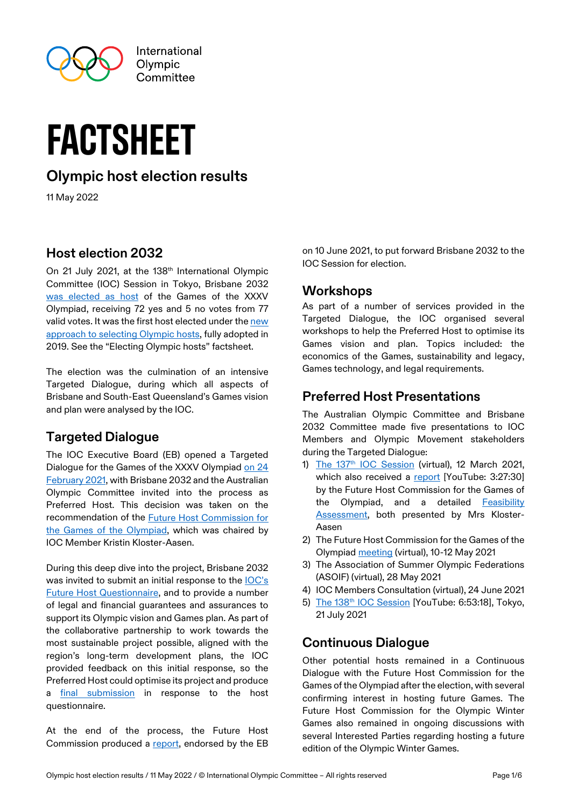

# factsheet

# **Olympic host election results**

11 May 2022

### **Host election 2032**

On 21 July 2021, at the 138<sup>th</sup> International Olympic Committee (IOC) Session in Tokyo, Brisbane 2032 [was elected as host](https://olympics.com/ioc/news/ioc-elects-brisbane-2032-as-olympic-and-paralympic-host) of the Games of the XXXV Olympiad, receiving 72 yes and 5 no votes from 77 valid votes. It was the first host elected under th[e new](https://olympics.com/ioc/future-host-election)  [approach to selecting Olympic hosts,](https://olympics.com/ioc/future-host-election) fully adopted in 2019. See the "Electing Olympic hosts" factsheet.

The election was the culmination of an intensive Targeted Dialogue, during which all aspects of Brisbane and South-East Queensland's Games vision and plan were analysed by the IOC.

# **Targeted Dialogue**

The IOC Executive Board (EB) opened a Targeted Dialogue for the Games of the XXXV Olympiad [on 24](https://olympics.com/ioc/news/brisbane-and-aoc-invited-to-targeted-dialogue-for-the-olympic-games-2032)  [February 2021,](https://olympics.com/ioc/news/brisbane-and-aoc-invited-to-targeted-dialogue-for-the-olympic-games-2032) with Brisbane 2032 and the Australian Olympic Committee invited into the process as Preferred Host. This decision was taken on the recommendation of the [Future Host Commission for](https://olympics.com/ioc/future-host-commission-for-the-games-of-the-olympiad)  [the Games of the Olympiad,](https://olympics.com/ioc/future-host-commission-for-the-games-of-the-olympiad) which was chaired by IOC Member Kristin Kloster-Aasen.

During this deep dive into the project, Brisbane 2032 was invited to submit an initial response to the **IOC's** [Future Host Questionnaire,](https://stillmed.olympics.com/media/Documents/Olympic-Games/Brisbane-2032/General/Future-Host-Questionnaire-Olympic-Games.pdf) and to provide a number of legal and financial guarantees and assurances to support its Olympic vision and Games plan. As part of the collaborative partnership to work towards the most sustainable project possible, aligned with the region's long-term development plans, the IOC provided feedback on this initial response, so the Preferred Host could optimise its project and produce a [final submission](https://stillmed.olympics.com/media/Documents/International-Olympic-Committee/Commissions/Future-host-commission/The-Games-of-The-Olympiad/Brisbane-2032-FHC-Questionnaire-Response.pdf) in response to the host questionnaire.

At the end of the process, the Future Host Commission produced a [report,](https://stillmed.olympics.com/media/Documents/International-Olympic-Committee/Commissions/Future-host-commission/The-Games-of-The-Olympiad/Future-Host-Commission-Report-to-EB-Targeted-Dialogue-Brisbane-2032.pdf) endorsed by the EB

on 10 June 2021, to put forward Brisbane 2032 to the IOC Session for election.

# **Workshops**

As part of a number of services provided in the Targeted Dialogue, the IOC organised several workshops to help the Preferred Host to optimise its Games vision and plan. Topics included: the economics of the Games, sustainability and legacy, Games technology, and legal requirements.

## **Preferred Host Presentations**

The Australian Olympic Committee and Brisbane 2032 Committee made five presentations to IOC Members and Olympic Movement stakeholders during the Targeted Dialogue:

- 1) The 137<sup>th</sup> [IOC Session](https://olympics.com/ioc/news/ioc-session-endorses-new-future-hosts-approach-and-targeted-dialogue-with-brisbane-2032) (virtual), 12 March 2021, which also received a [report](https://www.youtube.com/watch?v=LORVBHO2jDc&t=13504s) [YouTube: 3:27:30] by the Future Host Commission for the Games of the Olympiad, and a detailed [Feasibility](https://stillmedab.olympic.org/media/Document%20Library/OlympicOrg/News/2021/02/IOC-Feasibility-Assessment-Brisbane.pdf)  [Assessment,](https://stillmedab.olympic.org/media/Document%20Library/OlympicOrg/News/2021/02/IOC-Feasibility-Assessment-Brisbane.pdf) both presented by Mrs Kloster-Aasen
- 2) The Future Host Commission for the Games of the Olympiad [meeting](https://olympics.com/ioc/news/future-host-commission-continues-targeted-dialogue-with-brisbane-2032-and-the-australian-olympic-committee) (virtual), 10-12 May 2021
- 3) The Association of Summer Olympic Federations (ASOIF) (virtual), 28 May 2021
- 4) IOC Members Consultation (virtual), 24 June 2021
- 5) The 138<sup>th</sup> [IOC Session](https://www.youtube.com/watch?v=gy2p6GI6-Uw)</u> [YouTube: 6:53:18], Tokyo, 21 July 2021

#### **Continuous Dialogue**

Other potential hosts remained in a Continuous Dialogue with the Future Host Commission for the Games of the Olympiad after the election, with several confirming interest in hosting future Games. The Future Host Commission for the Olympic Winter Games also remained in ongoing discussions with several Interested Parties regarding hosting a future edition of the Olympic Winter Games.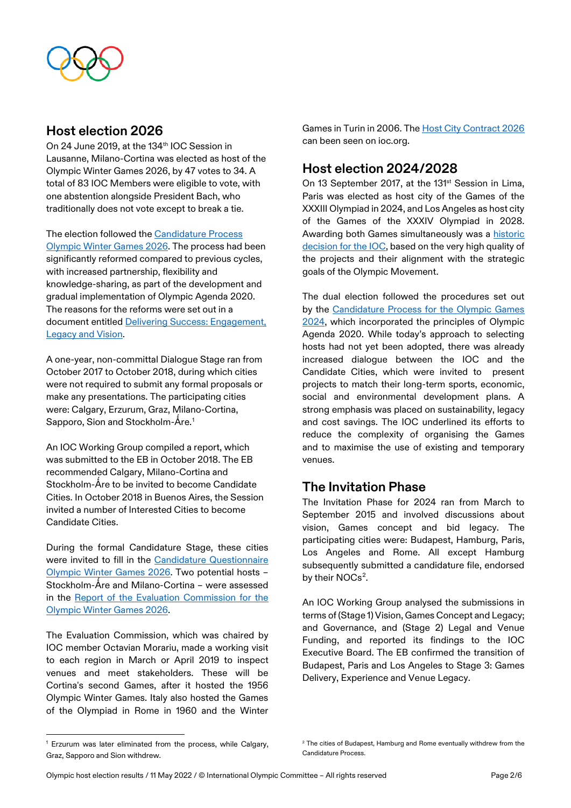

## **Host election 2026**

On 24 June 2019, at the 134<sup>th</sup> IOC Session in Lausanne, Milano-Cortina was elected as host of the Olympic Winter Games 2026, by 47 votes to 34. A total of 83 IOC Members were eligible to vote, with one abstention alongside President Bach, who traditionally does not vote except to break a tie.

The election followed the [Candidature Process](https://stillmed.olympics.com/media/Document%20Library/OlympicOrg/Games/Winter-Games/Games-2026-Winter-Olympic-Games/Candidature-Process-Olympic-Winter-Games-2026.pdf)  [Olympic Winter Games 2026.](https://stillmed.olympics.com/media/Document%20Library/OlympicOrg/Games/Winter-Games/Games-2026-Winter-Olympic-Games/Candidature-Process-Olympic-Winter-Games-2026.pdf) The process had been significantly reformed compared to previous cycles, with increased partnership, flexibility and knowledge-sharing, as part of the development and gradual implementation of Olympic Agenda 2020. The reasons for the reforms were set out in a document entitled [Delivering Success: Engagement,](https://stillmed.olympics.com/media/Document%20Library/OlympicOrg/Games/Winter-Games/Games-2026-Winter-Olympic-Games/Delivering-Success-Engagement-Legacy-Vision.pdf)  [Legacy and Vision.](https://stillmed.olympics.com/media/Document%20Library/OlympicOrg/Games/Winter-Games/Games-2026-Winter-Olympic-Games/Delivering-Success-Engagement-Legacy-Vision.pdf)

A one-year, non-committal Dialogue Stage ran from October 2017 to October 2018, during which cities were not required to submit any formal proposals or make any presentations. The participating cities were: Calgary, Erzurum, Graz, Milano-Cortina, Sapporo, Sion and Stockholm-Åre.<sup>[1](#page-1-0)</sup>

An IOC Working Group compiled a report, which was submitted to the EB in October 2018. The EB recommended Calgary, Milano-Cortina and Stockholm-Åre to be invited to become Candidate Cities. In October 2018 in Buenos Aires, the Session invited a number of Interested Cities to become Candidate Cities.

During the formal Candidature Stage, these cities were invited to fill in the [Candidature Questionnaire](https://stillmed.olympics.com/media/Document%20Library/OlympicOrg/Games/Winter-Games/Games-2026-Winter-Olympic-Games/Candidature-Questionnaire-2026.pdf)  [Olympic Winter Games 2026.](https://stillmed.olympics.com/media/Document%20Library/OlympicOrg/Games/Winter-Games/Games-2026-Winter-Olympic-Games/Candidature-Questionnaire-2026.pdf) Two potential hosts – Stockholm-Åre and Milano-Cortina – were assessed in the [Report of the Evaluation Commission for the](https://stillmed.olympics.com/media/Document%20Library/OlympicOrg/Games/Winter-Games/Games-2026-Winter-Olympic-Games/Report-of-the-IOC-Evaluation-Commission-2026-LO-RES.pdf)  [Olympic Winter Games 2026.](https://stillmed.olympics.com/media/Document%20Library/OlympicOrg/Games/Winter-Games/Games-2026-Winter-Olympic-Games/Report-of-the-IOC-Evaluation-Commission-2026-LO-RES.pdf)

The Evaluation Commission, which was chaired by IOC member Octavian Morariu, made a working visit to each region in March or April 2019 to inspect venues and meet stakeholders. These will be Cortina's second Games, after it hosted the 1956 Olympic Winter Games. Italy also hosted the Games of the Olympiad in Rome in 1960 and the Winter

Games in Turin in 2006. Th[e Host City Contract 2026](https://stillmed.olympics.com/media/Document%20Library/OlympicOrg/Games/Winter-Games/Games-2026-Winter-Olympic-Games/HCC-Principles-2026.pdf) can been seen on ioc.org.

# **Host election 2024/2028**

On 13 September 2017, at the 131<sup>st</sup> Session in Lima, Paris was elected as host city of the Games of the XXXIII Olympiad in 2024, and Los Angeles as host city of the Games of the XXXIV Olympiad in 2028. Awarding both Games simultaneously was a [historic](https://olympics.com/ioc/news/ioc-makes-historic-decision-by-simultaneously-awarding-olympic-games-2024-to-paris-and-2028-to-los-angeles)  [decision for the IOC,](https://olympics.com/ioc/news/ioc-makes-historic-decision-by-simultaneously-awarding-olympic-games-2024-to-paris-and-2028-to-los-angeles) based on the very high quality of the projects and their alignment with the strategic goals of the Olympic Movement.

The dual election followed the procedures set out by the [Candidature Process for the Olympic Games](https://stillmed.olympics.com/media/Document%20Library/OlympicOrg/Documents/Host-City-Elections/XXXIII-Olympiad-2024/Candidature-Process-Games-for-the-XXXIII-Olympiad-2024.pdf)  [2024,](https://stillmed.olympics.com/media/Document%20Library/OlympicOrg/Documents/Host-City-Elections/XXXIII-Olympiad-2024/Candidature-Process-Games-for-the-XXXIII-Olympiad-2024.pdf) which incorporated the principles of Olympic Agenda 2020. While today's approach to selecting hosts had not yet been adopted, there was already increased dialogue between the IOC and the Candidate Cities, which were invited to present projects to match their long-term sports, economic, social and environmental development plans. A strong emphasis was placed on sustainability, legacy and cost savings. The IOC underlined its efforts to reduce the complexity of organising the Games and to maximise the use of existing and temporary venues.

#### **The Invitation Phase**

The Invitation Phase for 2024 ran from March to September 2015 and involved discussions about vision, Games concept and bid legacy. The participating cities were: Budapest, Hamburg, Paris, Los Angeles and Rome. All except Hamburg subsequently submitted a candidature file, endorsed by their NOCs<sup>[2](#page-1-0)</sup>.

An IOC Working Group analysed the submissions in terms of (Stage 1) Vision, Games Concept and Legacy; and Governance, and (Stage 2) Legal and Venue Funding, and reported its findings to the IOC Executive Board. The EB confirmed the transition of Budapest, Paris and Los Angeles to Stage 3: Games Delivery, Experience and Venue Legacy.

<span id="page-1-0"></span><sup>1</sup> Erzurum was later eliminated from the process, while Calgary, Graz, Sapporo and Sion withdrew.

 $2$  The cities of Budapest, Hamburg and Rome eventually withdrew from the Candidature Process.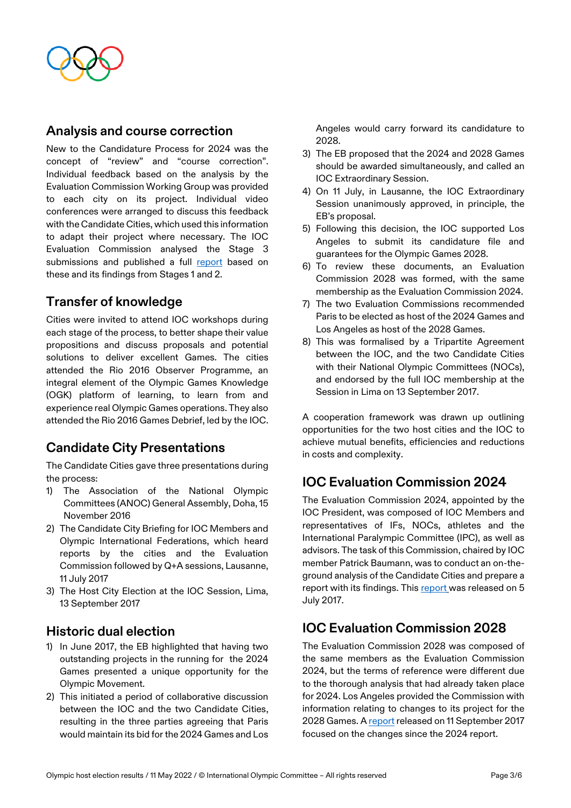

#### **Analysis and course correction**

New to the Candidature Process for 2024 was the concept of "review" and "course correction". Individual feedback based on the analysis by the Evaluation Commission Working Group was provided to each city on its project. Individual video conferences were arranged to discuss this feedback with the Candidate Cities, which used this information to adapt their project where necessary. The IOC Evaluation Commission analysed the Stage 3 submissions and published a full [report](https://stillmed.olympic.org/media/Document%20Library/OlympicOrg/Documents/Host-City-Elections/XXXIII-Olympiad-2024/Report-IOC-Evaluation-Commission-2024-high-resolution.pdf#_ga=2.253647501.585611373.1509352412-1718898751.1501060626) based on these and its findings from Stages 1 and 2.

#### **Transfer of knowledge**

Cities were invited to attend IOC workshops during each stage of the process, to better shape their value propositions and discuss proposals and potential solutions to deliver excellent Games. The cities attended the Rio 2016 Observer Programme, an integral element of the Olympic Games Knowledge (OGK) platform of learning, to learn from and experience real Olympic Games operations. They also attended the Rio 2016 Games Debrief, led by the IOC.

#### **Candidate City Presentations**

The Candidate Cities gave three presentations during the process:

- 1) The Association of the National Olympic Committees (ANOC) General Assembly, Doha, 15 November 2016
- 2) The Candidate City Briefing for IOC Members and Olympic International Federations, which heard reports by the cities and the Evaluation Commission followed by Q+A sessions, Lausanne, 11 July 2017
- 3) The Host City Election at the IOC Session, Lima, 13 September 2017

#### **Historic dual election**

- 1) In June 2017, the EB highlighted that having two outstanding projects in the running for the 2024 Games presented a unique opportunity for the Olympic Movement.
- 2) This initiated a period of collaborative discussion between the IOC and the two Candidate Cities, resulting in the three parties agreeing that Paris would maintain its bid for the 2024 Games and Los

Angeles would carry forward its candidature to 2028.

- 3) The EB proposed that the 2024 and 2028 Games should be awarded simultaneously, and called an IOC Extraordinary Session.
- 4) On 11 July, in Lausanne, the IOC Extraordinary Session unanimously approved, in principle, the EB's proposal.
- 5) Following this decision, the IOC supported Los Angeles to submit its candidature file and guarantees for the Olympic Games 2028.
- 6) To review these documents, an Evaluation Commission 2028 was formed, with the same membership as the Evaluation Commission 2024.
- 7) The two Evaluation Commissions recommended Paris to be elected as host of the 2024 Games and Los Angeles as host of the 2028 Games.
- 8) This was formalised by a Tripartite Agreement between the IOC, and the two Candidate Cities with their National Olympic Committees (NOCs), and endorsed by the full IOC membership at the Session in Lima on 13 September 2017.

A cooperation framework was drawn up outlining opportunities for the two host cities and the IOC to achieve mutual benefits, efficiencies and reductions in costs and complexity.

# **IOC Evaluation Commission 2024**

The Evaluation Commission 2024, appointed by the IOC President, was composed of IOC Members and representatives of IFs, NOCs, athletes and the International Paralympic Committee (IPC), as well as advisors. The task of this Commission, chaired by IOC member Patrick Baumann, was to conduct an on-theground analysis of the Candidate Cities and prepare a report with its findings. This [report](https://www.olympic.org/host-city-election-2024) was released on 5 July 2017.

#### **IOC Evaluation Commission 2028**

The Evaluation Commission 2028 was composed of the same members as the Evaluation Commission 2024, but the terms of reference were different due to the thorough analysis that had already taken place for 2024. Los Angeles provided the Commission with information relating to changes to its project for the 2028 Games. [A report](https://stillmed.olympic.org/media/Document%20Library/OlympicOrg/Games/Summer-Games/2028-Los-Angeles/IOC-2028-Evaluation-Commission-report.pdf#_ga=2.10500144.585611373.1509352412-1718898751.1501060626) released on 11 September 2017 focused on the changes since the 2024 report.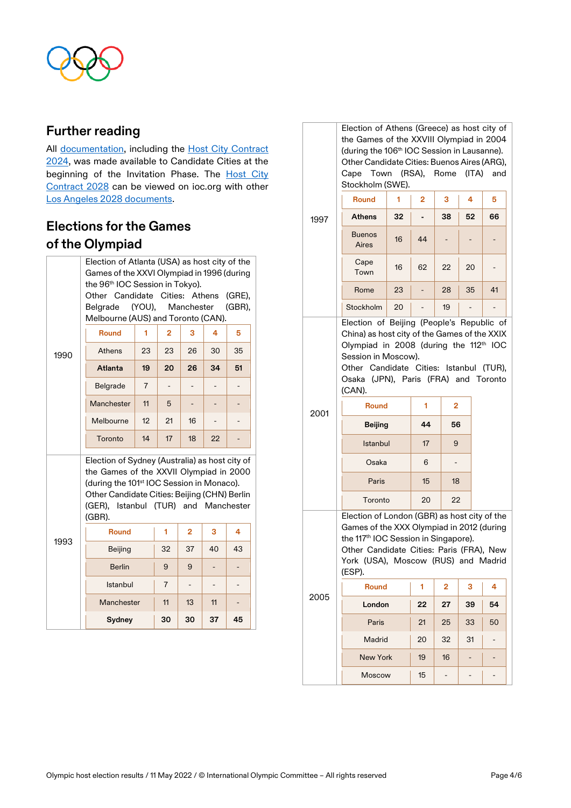

#### **Further reading**

All [documentation,](https://olympics.com/ioc/documents/olympic-games/paris-2024-olympic-games) including the Host City Contract [2024,](https://olympics.com/ioc/documents/olympic-games/paris-2024-olympic-games) was made available to Candidate Cities at the beginning of the Invitation Phase. The [Host City](https://stillmed.olympics.com/media/Document%20Library/OlympicOrg/Documents/Host-City-Elections/XXXIII-Olympiad-2024/Host_City_Contract_Operational_Requirements_December_2016.pdf)  [Contract 2028](https://stillmed.olympics.com/media/Document%20Library/OlympicOrg/Documents/Host-City-Elections/XXXIII-Olympiad-2024/Host_City_Contract_Operational_Requirements_December_2016.pdf) can be viewed on ioc.org with other [Los Angeles 2028 documents.](https://olympics.com/ioc/documents/olympic-games/los-angeles-2028)

# **Elections for the Games of the Olympiad**

|      | Election of Atlanta (USA) as host city of the<br>Games of the XXVI Olympiad in 1996 (during                                                                                                                                                          |                |                |                          |    |                     |
|------|------------------------------------------------------------------------------------------------------------------------------------------------------------------------------------------------------------------------------------------------------|----------------|----------------|--------------------------|----|---------------------|
|      | the 96 <sup>th</sup> IOC Session in Tokyo).<br>Other Candidate Cities: Athens<br>Belgrade (YOU), Manchester<br>Melbourne (AUS) and Toronto (CAN).                                                                                                    |                |                |                          |    | (GRE),<br>$(GBR)$ , |
|      | <b>Round</b>                                                                                                                                                                                                                                         | 1              | $\overline{2}$ | 3                        | 4  | 5                   |
| 1990 | <b>Athens</b>                                                                                                                                                                                                                                        | 23             | 23             | 26                       | 30 | 35                  |
|      | Atlanta                                                                                                                                                                                                                                              | 19             | 20             | 26                       | 34 | 51                  |
|      | Belgrade                                                                                                                                                                                                                                             | $\overline{7}$ |                |                          |    |                     |
|      | Manchester                                                                                                                                                                                                                                           | 11             | 5              |                          |    |                     |
|      | Melbourne                                                                                                                                                                                                                                            | 12             | 21             | 16                       |    |                     |
|      | Toronto                                                                                                                                                                                                                                              | 14             | 17             | 18                       | 22 |                     |
|      | Election of Sydney (Australia) as host city of<br>the Games of the XXVII Olympiad in 2000<br>(during the 101 <sup>st</sup> IOC Session in Monaco).<br>Other Candidate Cities: Beijing (CHN) Berlin<br>(GER), Istanbul (TUR) and Manchester<br>(GBR). |                |                |                          |    |                     |
|      | <b>Round</b>                                                                                                                                                                                                                                         |                | 1              | 2                        | 3  | 4                   |
| 1993 | <b>Beijing</b>                                                                                                                                                                                                                                       |                | 32             | 37                       | 40 | 43                  |
|      | <b>Berlin</b>                                                                                                                                                                                                                                        |                | 9              | 9                        |    |                     |
|      | Istanbul                                                                                                                                                                                                                                             |                | $\overline{7}$ | $\overline{\phantom{a}}$ |    |                     |
|      | Manchester                                                                                                                                                                                                                                           |                | 11             | 13                       | 11 |                     |
|      | Sydney                                                                                                                                                                                                                                               |                | 30             | 30                       | 37 | 45                  |

|      | Election of Athens (Greece) as host city of<br>the Games of the XXVIII Olympiad in 2004<br>(during the 106 <sup>th</sup> IOC Session in Lausanne).<br>Other Candidate Cities: Buenos Aires (ARG),<br>Cape Town (RSA), Rome (ITA)<br>Stockholm (SWE).                                                                    |    |                                |                          |                          | and                      |
|------|-------------------------------------------------------------------------------------------------------------------------------------------------------------------------------------------------------------------------------------------------------------------------------------------------------------------------|----|--------------------------------|--------------------------|--------------------------|--------------------------|
|      | <b>Round</b>                                                                                                                                                                                                                                                                                                            | 1  | $\overline{2}$                 | з                        | 4                        | 5                        |
| 1997 | <b>Athens</b>                                                                                                                                                                                                                                                                                                           | 32 |                                | 38                       | 52                       | 66                       |
|      | <b>Buenos</b><br>Aires                                                                                                                                                                                                                                                                                                  | 16 | 44                             |                          |                          |                          |
|      | Cape<br>Town                                                                                                                                                                                                                                                                                                            | 16 | 62                             | 22                       | 20                       |                          |
|      | Rome                                                                                                                                                                                                                                                                                                                    | 23 | -                              | 28                       | 35                       | 41                       |
|      | Stockholm                                                                                                                                                                                                                                                                                                               | 20 |                                | 19                       |                          |                          |
| 2001 | Election of Beijing (People's Republic of<br>China) as host city of the Games of the XXIX<br>Olympiad in 2008 (during the 112th IOC<br>Session in Moscow).<br>Other Candidate Cities: Istanbul (TUR),<br>Osaka (JPN), Paris (FRA) and Toronto<br>(CAN).<br><b>Round</b><br><b>Beijing</b><br>Istanbul<br>Osaka<br>Paris |    | 1<br>44<br>17<br>6<br>15<br>20 | 2<br>56<br>9<br>-<br>18  |                          |                          |
|      | Toronto<br>22<br>Election of London (GBR) as host city of the<br>Games of the XXX Olympiad in 2012 (during<br>the 117 <sup>th</sup> IOC Session in Singapore).<br>Other Candidate Cities: Paris (FRA), New<br>York (USA), Moscow (RUS) and Madrid<br>(ESP).                                                             |    |                                |                          |                          |                          |
| 2005 | Round                                                                                                                                                                                                                                                                                                                   |    | 1                              | 2                        | З                        | 4                        |
|      | London                                                                                                                                                                                                                                                                                                                  |    | 22                             | 27                       | 39                       | 54                       |
|      | Paris                                                                                                                                                                                                                                                                                                                   |    | 21                             | 25                       | 33                       | 50                       |
|      | Madrid                                                                                                                                                                                                                                                                                                                  |    | 20                             | 32                       | 31                       | $\overline{\phantom{0}}$ |
|      | <b>New York</b>                                                                                                                                                                                                                                                                                                         |    | 19                             | 16                       |                          |                          |
|      | <b>Moscow</b>                                                                                                                                                                                                                                                                                                           |    | 15                             | $\overline{\phantom{a}}$ | $\overline{\phantom{0}}$ |                          |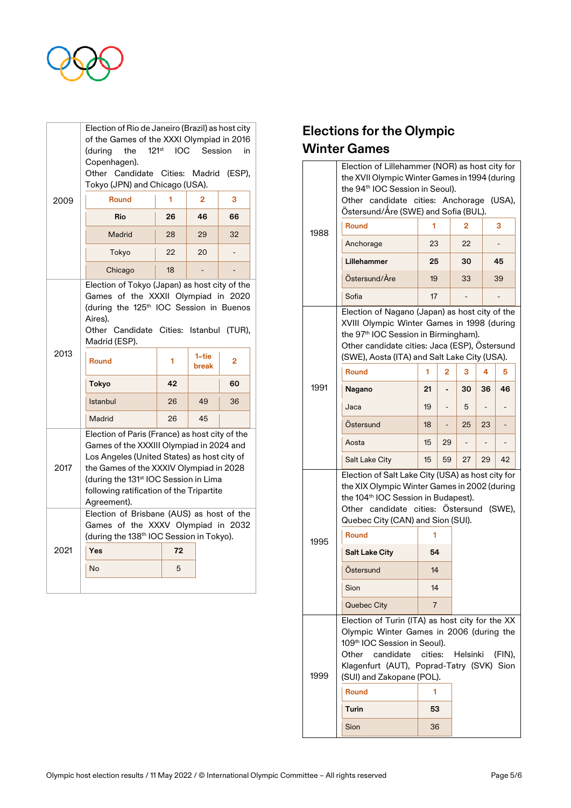

|      | Election of Rio de Janeiro (Brazil) as host city<br>of the Games of the XXXI Olympiad in 2016<br>(during<br>the<br>Copenhagen).                                                                                                                                                                      | 121 <sup>st</sup> IOC Session |    | in |  |  |
|------|------------------------------------------------------------------------------------------------------------------------------------------------------------------------------------------------------------------------------------------------------------------------------------------------------|-------------------------------|----|----|--|--|
|      | Other Candidate Cities: Madrid (ESP),<br>Tokyo (JPN) and Chicago (USA).                                                                                                                                                                                                                              |                               |    |    |  |  |
| 2009 | <b>Round</b>                                                                                                                                                                                                                                                                                         | 1                             | 2  | 3  |  |  |
|      | Rio                                                                                                                                                                                                                                                                                                  | 26                            | 46 | 66 |  |  |
|      | <b>Madrid</b>                                                                                                                                                                                                                                                                                        | 28                            | 29 | 32 |  |  |
|      | Tokyo                                                                                                                                                                                                                                                                                                | 22                            | 20 |    |  |  |
|      | Chicago                                                                                                                                                                                                                                                                                              | 18                            |    |    |  |  |
|      | Election of Tokyo (Japan) as host city of the<br>Games of the XXXII Olympiad in 2020<br>(during the 125 <sup>th</sup> IOC Session in Buenos<br>Aires).<br>Other Candidate Cities: Istanbul (TUR),<br>Madrid (ESP).                                                                                   |                               |    |    |  |  |
| 2013 | <b>Round</b>                                                                                                                                                                                                                                                                                         | 1                             |    | 2  |  |  |
|      | Tokyo                                                                                                                                                                                                                                                                                                | 42                            |    | 60 |  |  |
|      | Istanbul                                                                                                                                                                                                                                                                                             | 26                            | 49 | 36 |  |  |
|      | Madrid                                                                                                                                                                                                                                                                                               | 26                            | 45 |    |  |  |
| 2017 | Election of Paris (France) as host city of the<br>Games of the XXXIII Olympiad in 2024 and<br>Los Angeles (United States) as host city of<br>the Games of the XXXIV Olympiad in 2028<br>(during the 131 <sup>st</sup> IOC Session in Lima<br>following ratification of the Tripartite<br>Agreement). |                               |    |    |  |  |
|      | Election of Brisbane (AUS) as host of the<br>Games of the XXXV Olympiad in 2032<br>(during the 138 <sup>th</sup> IOC Session in Tokyo).                                                                                                                                                              |                               |    |    |  |  |
| 2021 | Yes                                                                                                                                                                                                                                                                                                  | 72                            |    |    |  |  |
|      | No                                                                                                                                                                                                                                                                                                   | 5                             |    |    |  |  |
|      |                                                                                                                                                                                                                                                                                                      |                               |    |    |  |  |

# **Elections for the Olympic Winter Games**

|      | Election of Lillehammer (NOR) as host city for<br>the XVII Olympic Winter Games in 1994 (during<br>the 94 <sup>th</sup> IOC Session in Seoul).<br>Other candidate cities: Anchorage<br>Östersund/Åre (SWE) and Sofia (BUL).                                                                |                |                          |                |    | (USA),    |
|------|--------------------------------------------------------------------------------------------------------------------------------------------------------------------------------------------------------------------------------------------------------------------------------------------|----------------|--------------------------|----------------|----|-----------|
| 1988 | <b>Round</b>                                                                                                                                                                                                                                                                               | 1              |                          | $\overline{2}$ |    | 3         |
|      | Anchorage                                                                                                                                                                                                                                                                                  | 23             |                          | 22             |    |           |
|      | Lillehammer                                                                                                                                                                                                                                                                                | 25             |                          | 30             |    | 45        |
|      | Östersund/Åre                                                                                                                                                                                                                                                                              | 19             |                          | 33             |    | 39        |
|      | Sofia                                                                                                                                                                                                                                                                                      | 17             |                          |                |    |           |
|      | Election of Nagano (Japan) as host city of the<br>XVIII Olympic Winter Games in 1998 (during<br>the 97 <sup>th</sup> IOC Session in Birmingham).<br>Other candidate cities: Jaca (ESP), Östersund<br>(SWE), Aosta (ITA) and Salt Lake City (USA).<br><b>Round</b><br>3<br>4<br>2<br>5<br>1 |                |                          |                |    |           |
| 1991 |                                                                                                                                                                                                                                                                                            | 21             |                          | 30             | 36 | 46        |
|      | Nagano<br>Jaca                                                                                                                                                                                                                                                                             | 19             |                          | 5              |    |           |
|      | Östersund                                                                                                                                                                                                                                                                                  | 18             | $\overline{\phantom{0}}$ | 25             | 23 |           |
|      | Aosta                                                                                                                                                                                                                                                                                      | 15             | 29                       |                |    |           |
|      | <b>Salt Lake City</b>                                                                                                                                                                                                                                                                      | 15             | 59                       | 27             | 29 | 42        |
|      | Election of Salt Lake City (USA) as host city for<br>the XIX Olympic Winter Games in 2002 (during<br>the 104 <sup>th</sup> IOC Session in Budapest).<br>Other candidate cities: Östersund (SWE),<br>Quebec City (CAN) and Sion (SUI).<br><b>Round</b>                                      | 1              |                          |                |    |           |
| 1995 | <b>Salt Lake City</b>                                                                                                                                                                                                                                                                      | 54             |                          |                |    |           |
|      | Ostersund                                                                                                                                                                                                                                                                                  | 14             |                          |                |    |           |
|      | Sion                                                                                                                                                                                                                                                                                       | 14             |                          |                |    |           |
|      | Quebec City                                                                                                                                                                                                                                                                                | $\overline{7}$ |                          |                |    |           |
| 1999 | Election of Turin (ITA) as host city for the XX<br>Olympic Winter Games in 2006 (during the<br>109th IOC Session in Seoul).<br>Other<br>candidate cities:<br>Klagenfurt (AUT), Poprad-Tatry (SVK) Sion<br>(SUI) and Zakopane (POL).<br><b>Round</b><br>Turin                               | 1<br>53        |                          | Helsinki       |    | $(FIN)$ , |
|      | Sion                                                                                                                                                                                                                                                                                       | 36             |                          |                |    |           |